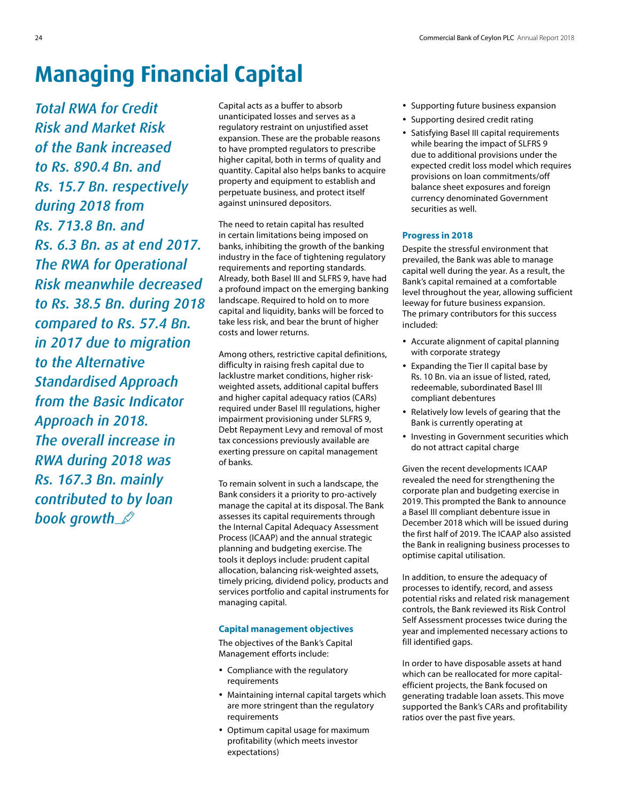## **Managing Financial Capital**

*Total RWA for Credit Risk and Market Risk of the Bank increased to Rs. 890.4 Bn. and Rs. 15.7 Bn. respectively during 2018 from Rs. 713.8 Bn. and Rs. 6.3 Bn. as at end 2017. The RWA for Operational Risk meanwhile decreased to Rs. 38.5 Bn. during 2018 compared to Rs. 57.4 Bn. in 2017 due to migration to the Alternative Standardised Approach from the Basic Indicator Approach in 2018. The overall increase in RWA during 2018 was Rs. 167.3 Bn. mainly contributed to by loan book growth*

Capital acts as a buffer to absorb unanticipated losses and serves as a regulatory restraint on unjustified asset expansion. These are the probable reasons to have prompted regulators to prescribe higher capital, both in terms of quality and quantity. Capital also helps banks to acquire property and equipment to establish and perpetuate business, and protect itself against uninsured depositors.

The need to retain capital has resulted in certain limitations being imposed on banks, inhibiting the growth of the banking industry in the face of tightening regulatory requirements and reporting standards. Already, both Basel III and SLFRS 9, have had a profound impact on the emerging banking landscape. Required to hold on to more capital and liquidity, banks will be forced to take less risk, and bear the brunt of higher costs and lower returns.

Among others, restrictive capital definitions, difficulty in raising fresh capital due to lacklustre market conditions, higher riskweighted assets, additional capital buffers and higher capital adequacy ratios (CARs) required under Basel III regulations, higher impairment provisioning under SLFRS 9, Debt Repayment Levy and removal of most tax concessions previously available are exerting pressure on capital management of banks.

To remain solvent in such a landscape, the Bank considers it a priority to pro-actively manage the capital at its disposal. The Bank assesses its capital requirements through the Internal Capital Adequacy Assessment Process (ICAAP) and the annual strategic planning and budgeting exercise. The tools it deploys include: prudent capital allocation, balancing risk-weighted assets, timely pricing, dividend policy, products and services portfolio and capital instruments for managing capital.

## **Capital management objectives**

The objectives of the Bank's Capital Management efforts include:

- Compliance with the regulatory requirements
- Maintaining internal capital targets which are more stringent than the regulatory requirements
- Optimum capital usage for maximum profitability (which meets investor expectations)
- Supporting future business expansion
- Supporting desired credit rating
- Satisfying Basel III capital requirements while bearing the impact of SLFRS 9 due to additional provisions under the expected credit loss model which requires provisions on loan commitments/off balance sheet exposures and foreign currency denominated Government securities as well.

## **Progress in 2018**

Despite the stressful environment that prevailed, the Bank was able to manage capital well during the year. As a result, the Bank's capital remained at a comfortable level throughout the year, allowing sufficient leeway for future business expansion. The primary contributors for this success included:

- Accurate alignment of capital planning with corporate strategy
- Expanding the Tier II capital base by Rs. 10 Bn. via an issue of listed, rated, redeemable, subordinated Basel III compliant debentures
- Relatively low levels of gearing that the Bank is currently operating at
- Investing in Government securities which do not attract capital charge

Given the recent developments ICAAP revealed the need for strengthening the corporate plan and budgeting exercise in 2019. This prompted the Bank to announce a Basel III compliant debenture issue in December 2018 which will be issued during the first half of 2019. The ICAAP also assisted the Bank in realigning business processes to optimise capital utilisation.

In addition, to ensure the adequacy of processes to identify, record, and assess potential risks and related risk management controls, the Bank reviewed its Risk Control Self Assessment processes twice during the year and implemented necessary actions to fill identified gaps.

In order to have disposable assets at hand which can be reallocated for more capitalefficient projects, the Bank focused on generating tradable loan assets. This move supported the Bank's CARs and profitability ratios over the past five years.